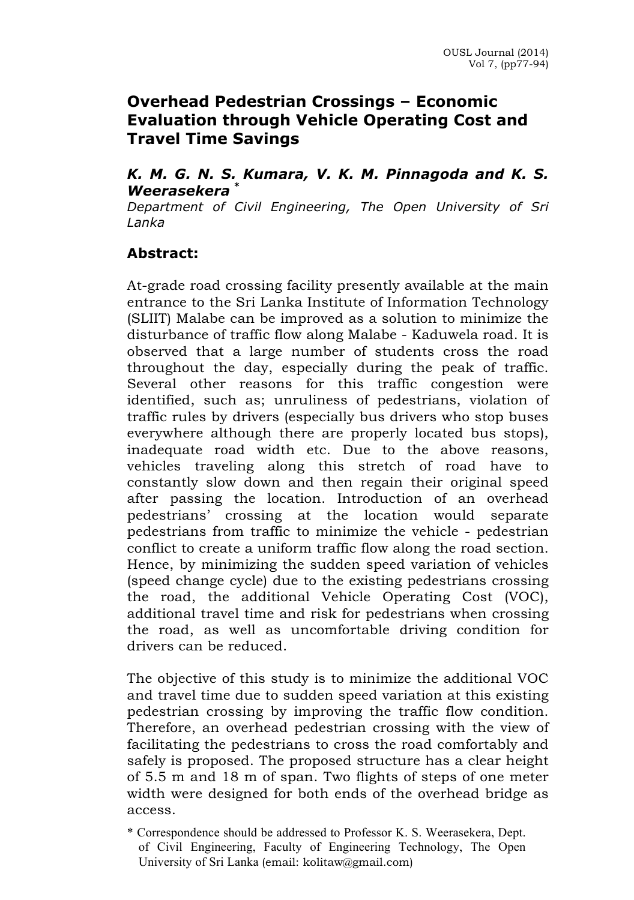## **Overhead Pedestrian Crossings – Economic Evaluation through Vehicle Operating Cost and Travel Time Savings**

#### *K. M. G. N. S. Kumara, V. K. M. Pinnagoda and K. S. Weerasekera \**

*Department of Civil Engineering, The Open University of Sri Lanka*

### **Abstract:**

At-grade road crossing facility presently available at the main entrance to the Sri Lanka Institute of Information Technology (SLIIT) Malabe can be improved as a solution to minimize the disturbance of traffic flow along Malabe - Kaduwela road. It is observed that a large number of students cross the road throughout the day, especially during the peak of traffic. Several other reasons for this traffic congestion were identified, such as; unruliness of pedestrians, violation of traffic rules by drivers (especially bus drivers who stop buses everywhere although there are properly located bus stops), inadequate road width etc. Due to the above reasons, vehicles traveling along this stretch of road have to constantly slow down and then regain their original speed after passing the location. Introduction of an overhead pedestrians' crossing at the location would separate pedestrians from traffic to minimize the vehicle - pedestrian conflict to create a uniform traffic flow along the road section. Hence, by minimizing the sudden speed variation of vehicles (speed change cycle) due to the existing pedestrians crossing the road, the additional Vehicle Operating Cost (VOC), additional travel time and risk for pedestrians when crossing the road, as well as uncomfortable driving condition for drivers can be reduced.

The objective of this study is to minimize the additional VOC and travel time due to sudden speed variation at this existing pedestrian crossing by improving the traffic flow condition. Therefore, an overhead pedestrian crossing with the view of facilitating the pedestrians to cross the road comfortably and safely is proposed. The proposed structure has a clear height of 5.5 m and 18 m of span. Two flights of steps of one meter width were designed for both ends of the overhead bridge as access.

<sup>\*</sup> Correspondence should be addressed to Professor K. S. Weerasekera, Dept. of Civil Engineering, Faculty of Engineering Technology, The Open University of Sri Lanka (email: kolitaw@gmail.com)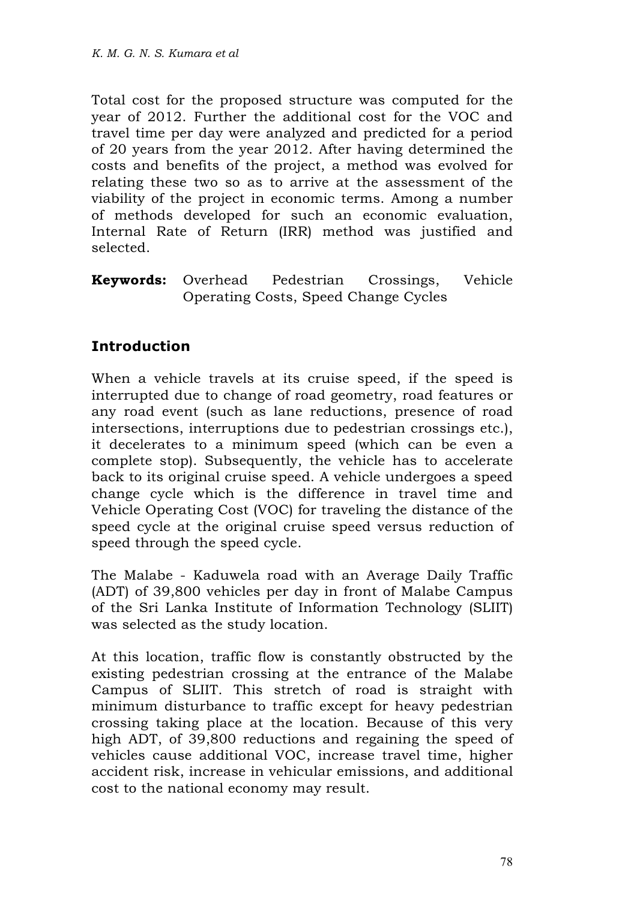Total cost for the proposed structure was computed for the year of 2012. Further the additional cost for the VOC and travel time per day were analyzed and predicted for a period of 20 years from the year 2012. After having determined the costs and benefits of the project, a method was evolved for relating these two so as to arrive at the assessment of the viability of the project in economic terms. Among a number of methods developed for such an economic evaluation, Internal Rate of Return (IRR) method was justified and selected.

**Keywords:** Overhead Pedestrian Crossings, Vehicle Operating Costs, Speed Change Cycles

## **Introduction**

When a vehicle travels at its cruise speed, if the speed is interrupted due to change of road geometry, road features or any road event (such as lane reductions, presence of road intersections, interruptions due to pedestrian crossings etc.), it decelerates to a minimum speed (which can be even a complete stop). Subsequently, the vehicle has to accelerate back to its original cruise speed. A vehicle undergoes a speed change cycle which is the difference in travel time and Vehicle Operating Cost (VOC) for traveling the distance of the speed cycle at the original cruise speed versus reduction of speed through the speed cycle.

The Malabe - Kaduwela road with an Average Daily Traffic (ADT) of 39,800 vehicles per day in front of Malabe Campus of the Sri Lanka Institute of Information Technology (SLIIT) was selected as the study location.

At this location, traffic flow is constantly obstructed by the existing pedestrian crossing at the entrance of the Malabe Campus of SLIIT. This stretch of road is straight with minimum disturbance to traffic except for heavy pedestrian crossing taking place at the location. Because of this very high ADT, of 39,800 reductions and regaining the speed of vehicles cause additional VOC, increase travel time, higher accident risk, increase in vehicular emissions, and additional cost to the national economy may result.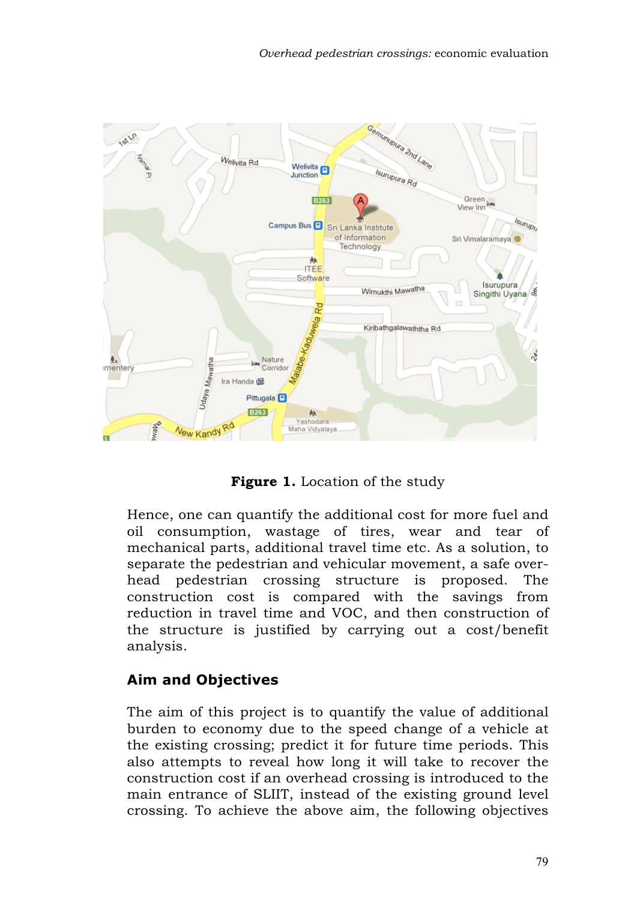

**Figure 1.** Location of the study

Hence, one can quantify the additional cost for more fuel and oil consumption, wastage of tires, wear and tear of mechanical parts, additional travel time etc. As a solution, to separate the pedestrian and vehicular movement, a safe overhead pedestrian crossing structure is proposed. The construction cost is compared with the savings from reduction in travel time and VOC, and then construction of the structure is justified by carrying out a cost/benefit analysis.

## **Aim and Objectives**

The aim of this project is to quantify the value of additional burden to economy due to the speed change of a vehicle at the existing crossing; predict it for future time periods. This also attempts to reveal how long it will take to recover the construction cost if an overhead crossing is introduced to the main entrance of SLIIT, instead of the existing ground level crossing. To achieve the above aim, the following objectives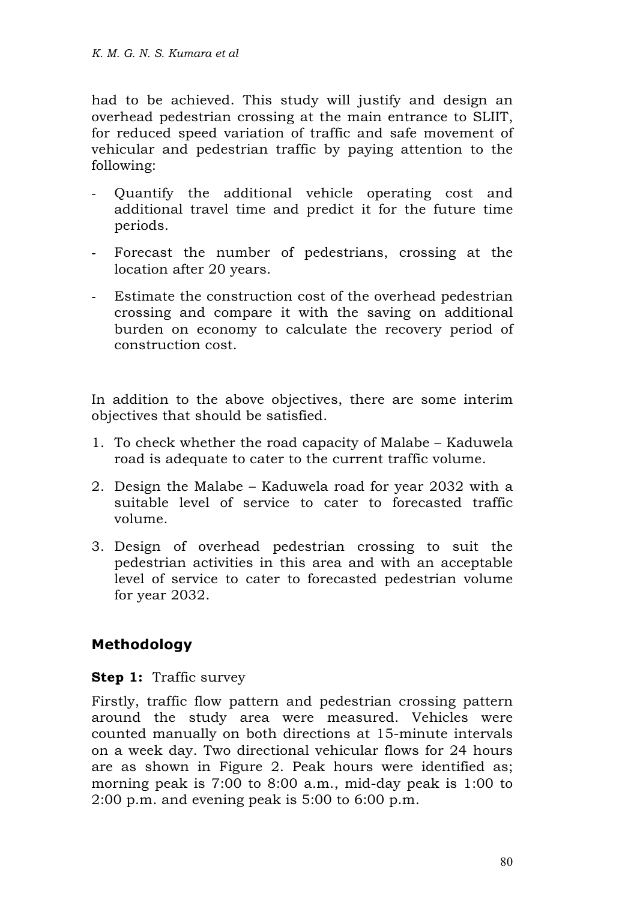had to be achieved. This study will justify and design an overhead pedestrian crossing at the main entrance to SLIIT, for reduced speed variation of traffic and safe movement of vehicular and pedestrian traffic by paying attention to the following:

- Quantify the additional vehicle operating cost and additional travel time and predict it for the future time periods.
- Forecast the number of pedestrians, crossing at the location after 20 years.
- Estimate the construction cost of the overhead pedestrian crossing and compare it with the saving on additional burden on economy to calculate the recovery period of construction cost.

In addition to the above objectives, there are some interim objectives that should be satisfied.

- 1. To check whether the road capacity of Malabe Kaduwela road is adequate to cater to the current traffic volume.
- 2. Design the Malabe Kaduwela road for year 2032 with a suitable level of service to cater to forecasted traffic volume.
- 3. Design of overhead pedestrian crossing to suit the pedestrian activities in this area and with an acceptable level of service to cater to forecasted pedestrian volume for year 2032.

## **Methodology**

**Step 1:** Traffic survey

Firstly, traffic flow pattern and pedestrian crossing pattern around the study area were measured. Vehicles were counted manually on both directions at 15-minute intervals on a week day. Two directional vehicular flows for 24 hours are as shown in Figure 2. Peak hours were identified as; morning peak is 7:00 to 8:00 a.m., mid-day peak is 1:00 to 2:00 p.m. and evening peak is 5:00 to 6:00 p.m.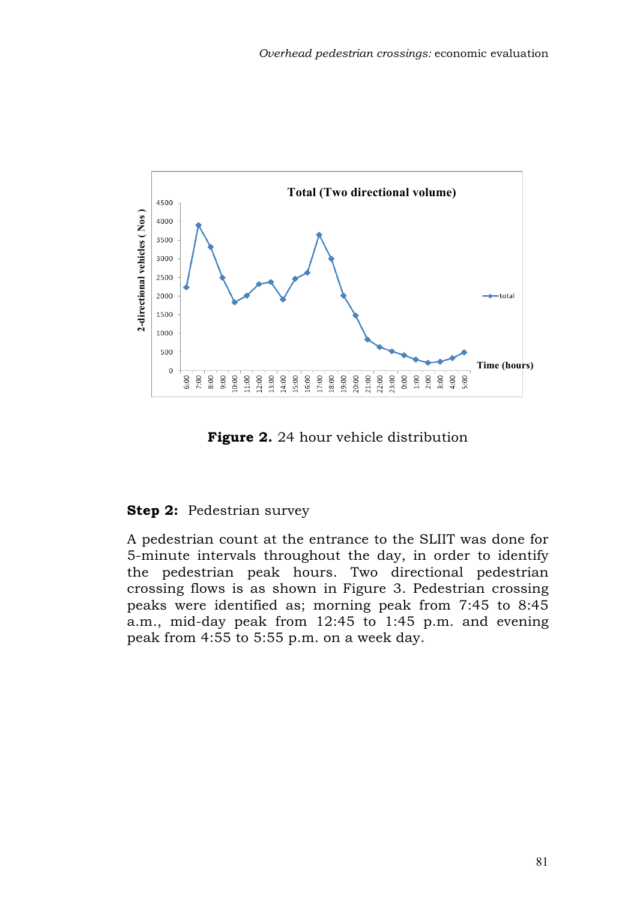

**Figure 2.** 24 hour vehicle distribution

### **Step 2:** Pedestrian survey

A pedestrian count at the entrance to the SLIIT was done for 5-minute intervals throughout the day, in order to identify the pedestrian peak hours. Two directional pedestrian crossing flows is as shown in Figure 3. Pedestrian crossing peaks were identified as; morning peak from 7:45 to 8:45 a.m., mid-day peak from 12:45 to 1:45 p.m. and evening peak from 4:55 to 5:55 p.m. on a week day.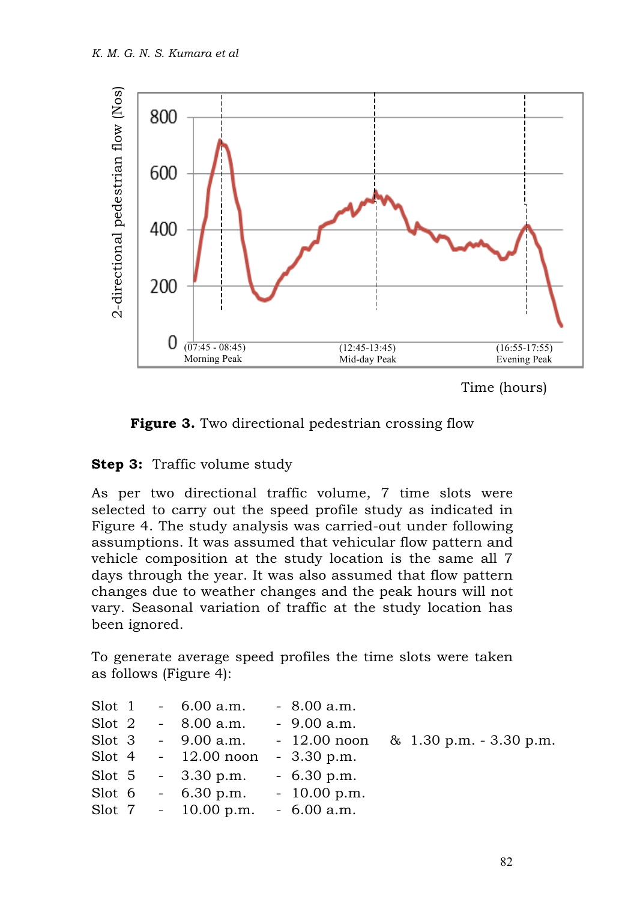

```
Time (hours)
```


### **Step 3:** Traffic volume study

As per two directional traffic volume, 7 time slots were selected to carry out the speed profile study as indicated in Figure 4. The study analysis was carried-out under following assumptions. It was assumed that vehicular flow pattern and vehicle composition at the study location is the same all 7 days through the year. It was also assumed that flow pattern changes due to weather changes and the peak hours will not vary. Seasonal variation of traffic at the study location has been ignored.

To generate average speed profiles the time slots were taken as follows (Figure 4):

|  | Slot 1 $-6.00$ a.m.   | $-8.00 a.m.$                                       |                                        |
|--|-----------------------|----------------------------------------------------|----------------------------------------|
|  | Slot 2 $-8.00$ a.m.   | $-9.00 a.m.$                                       |                                        |
|  | $Slot 3 - 9.00 a.m.$  |                                                    | $-12.00$ noon & 1.30 p.m. $-3.30$ p.m. |
|  |                       | Slot 4 - $12.00$ noon - $3.30$ p.m.                |                                        |
|  |                       | Slot 5 - $3.30 \text{ p.m.}$ - $6.30 \text{ p.m.}$ |                                        |
|  |                       | Slot $6 - 6.30$ p.m. $- 10.00$ p.m.                |                                        |
|  | Slot $7 - 10.00$ p.m. | $-6.00 a.m.$                                       |                                        |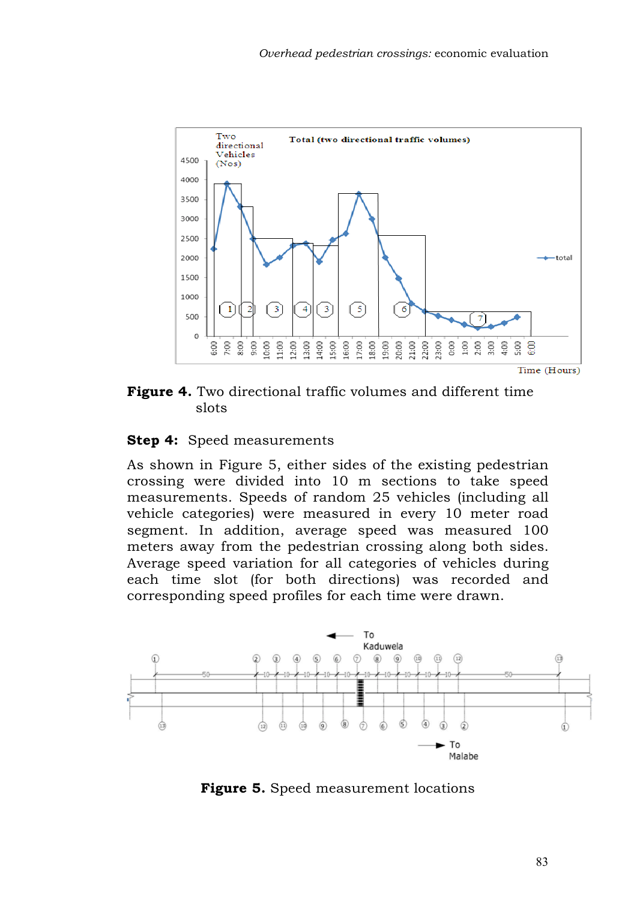

**Figure 4.** Two directional traffic volumes and different time slots

#### **Step 4:** Speed measurements

As shown in Figure 5, either sides of the existing pedestrian crossing were divided into 10 m sections to take speed measurements. Speeds of random 25 vehicles (including all vehicle categories) were measured in every 10 meter road segment. In addition, average speed was measured 100 meters away from the pedestrian crossing along both sides. Average speed variation for all categories of vehicles during each time slot (for both directions) was recorded and corresponding speed profiles for each time were drawn.



**Figure 5.** Speed measurement locations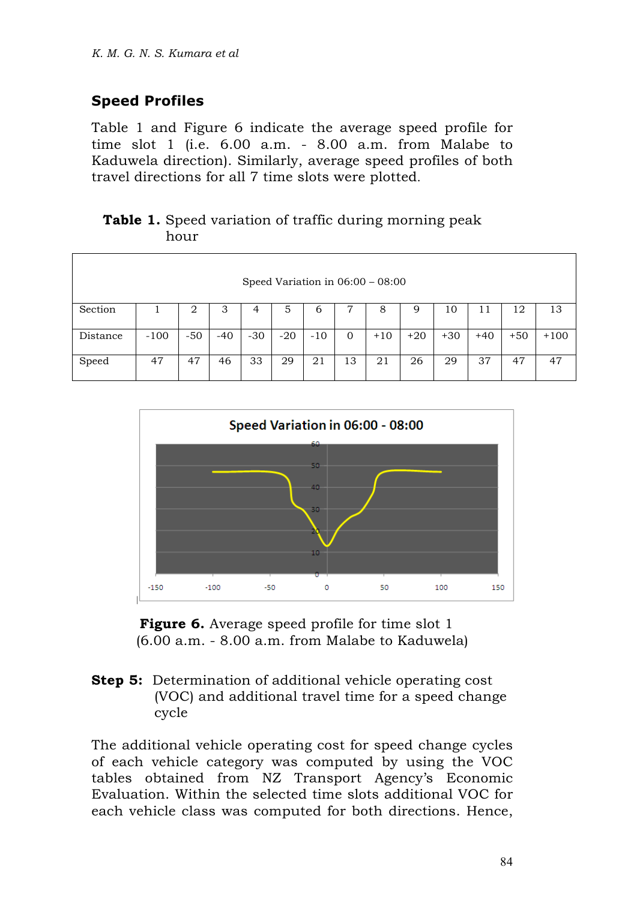# **Speed Profiles**

Table 1 and Figure 6 indicate the average speed profile for time slot 1 (i.e. 6.00 a.m. - 8.00 a.m. from Malabe to Kaduwela direction). Similarly, average speed profiles of both travel directions for all 7 time slots were plotted.

### **Table 1.** Speed variation of traffic during morning peak hour

| Speed Variation in $06:00 - 08:00$ |        |       |       |       |       |       |          |       |       |       |       |       |        |
|------------------------------------|--------|-------|-------|-------|-------|-------|----------|-------|-------|-------|-------|-------|--------|
| Section                            |        | 2     | 3     | 4     | 5     | 6     |          | 8     | 9     | 10    | 11    | 12    | 13     |
| Distance                           | $-100$ | $-50$ | $-40$ | $-30$ | $-20$ | $-10$ | $\Omega$ | $+10$ | $+20$ | $+30$ | $+40$ | $+50$ | $+100$ |
| Speed                              | 47     | 47    | 46    | 33    | 29    | 21    | 13       | 21    | 26    | 29    | 37    | 47    | 47     |





#### **Step 5:** Determination of additional vehicle operating cost (VOC) and additional travel time for a speed change cycle

The additional vehicle operating cost for speed change cycles of each vehicle category was computed by using the VOC tables obtained from NZ Transport Agency's Economic Evaluation. Within the selected time slots additional VOC for each vehicle class was computed for both directions. Hence,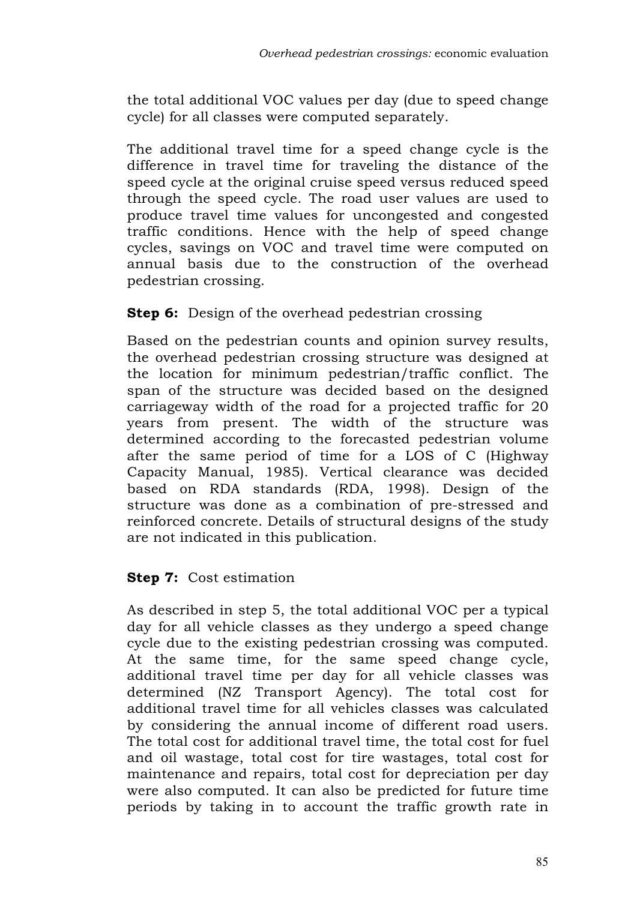the total additional VOC values per day (due to speed change cycle) for all classes were computed separately.

The additional travel time for a speed change cycle is the difference in travel time for traveling the distance of the speed cycle at the original cruise speed versus reduced speed through the speed cycle. The road user values are used to produce travel time values for uncongested and congested traffic conditions. Hence with the help of speed change cycles, savings on VOC and travel time were computed on annual basis due to the construction of the overhead pedestrian crossing.

### **Step 6:** Design of the overhead pedestrian crossing

Based on the pedestrian counts and opinion survey results, the overhead pedestrian crossing structure was designed at the location for minimum pedestrian/traffic conflict. The span of the structure was decided based on the designed carriageway width of the road for a projected traffic for 20 years from present. The width of the structure was determined according to the forecasted pedestrian volume after the same period of time for a LOS of C (Highway Capacity Manual, 1985). Vertical clearance was decided based on RDA standards (RDA, 1998). Design of the structure was done as a combination of pre-stressed and reinforced concrete. Details of structural designs of the study are not indicated in this publication.

### **Step 7:** Cost estimation

As described in step 5, the total additional VOC per a typical day for all vehicle classes as they undergo a speed change cycle due to the existing pedestrian crossing was computed. At the same time, for the same speed change cycle, additional travel time per day for all vehicle classes was determined (NZ Transport Agency). The total cost for additional travel time for all vehicles classes was calculated by considering the annual income of different road users. The total cost for additional travel time, the total cost for fuel and oil wastage, total cost for tire wastages, total cost for maintenance and repairs, total cost for depreciation per day were also computed. It can also be predicted for future time periods by taking in to account the traffic growth rate in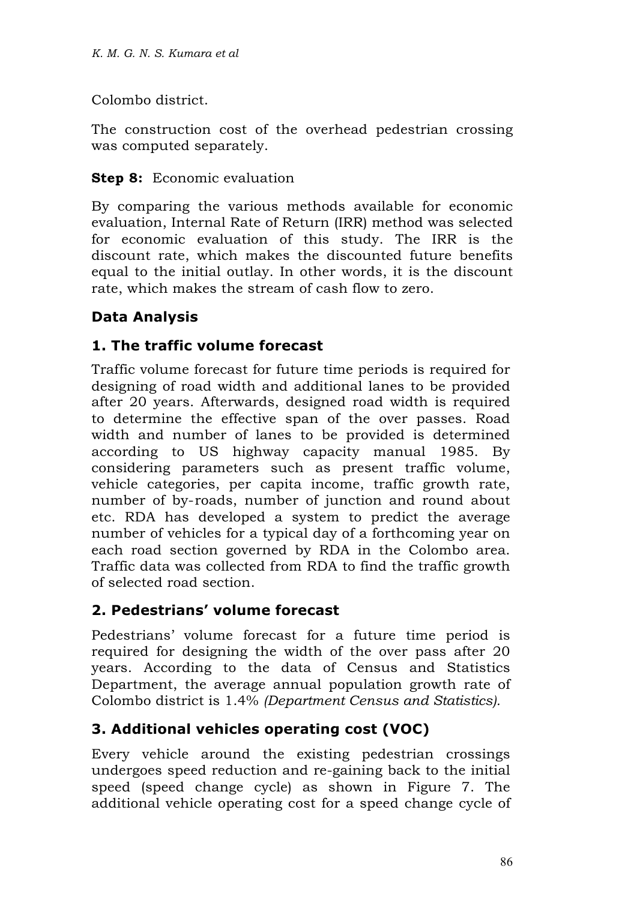Colombo district.

The construction cost of the overhead pedestrian crossing was computed separately.

### **Step 8:** Economic evaluation

By comparing the various methods available for economic evaluation, Internal Rate of Return (IRR) method was selected for economic evaluation of this study. The IRR is the discount rate, which makes the discounted future benefits equal to the initial outlay. In other words, it is the discount rate, which makes the stream of cash flow to zero.

# **Data Analysis**

## **1. The traffic volume forecast**

Traffic volume forecast for future time periods is required for designing of road width and additional lanes to be provided after 20 years. Afterwards, designed road width is required to determine the effective span of the over passes. Road width and number of lanes to be provided is determined according to US highway capacity manual 1985. By considering parameters such as present traffic volume, vehicle categories, per capita income, traffic growth rate, number of by-roads, number of junction and round about etc. RDA has developed a system to predict the average number of vehicles for a typical day of a forthcoming year on each road section governed by RDA in the Colombo area. Traffic data was collected from RDA to find the traffic growth of selected road section.

## **2. Pedestrians' volume forecast**

Pedestrians' volume forecast for a future time period is required for designing the width of the over pass after 20 years. According to the data of Census and Statistics Department, the average annual population growth rate of Colombo district is 1.4% *(Department Census and Statistics).*

## **3. Additional vehicles operating cost (VOC)**

Every vehicle around the existing pedestrian crossings undergoes speed reduction and re-gaining back to the initial speed (speed change cycle) as shown in Figure 7. The additional vehicle operating cost for a speed change cycle of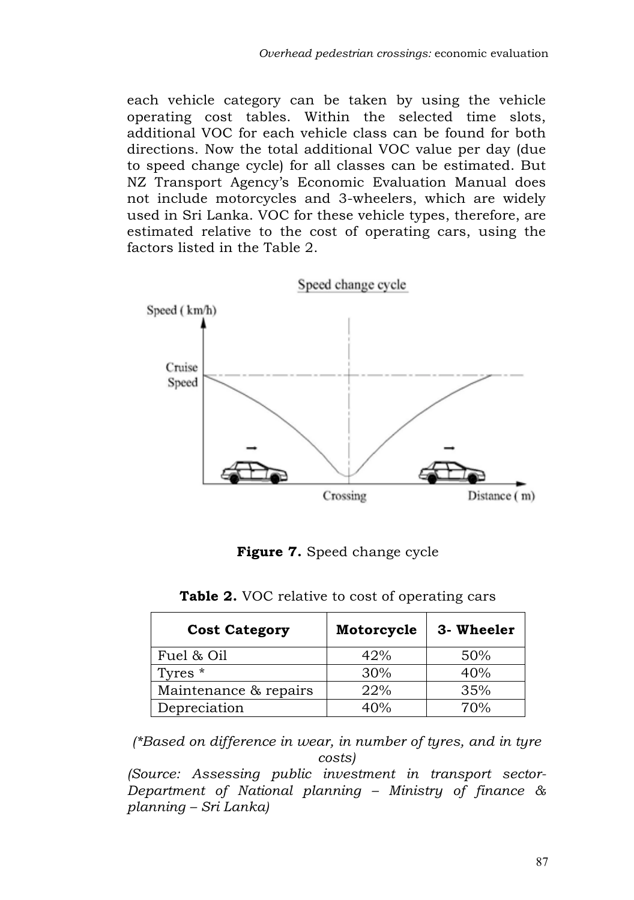each vehicle category can be taken by using the vehicle operating cost tables. Within the selected time slots, additional VOC for each vehicle class can be found for both directions. Now the total additional VOC value per day (due to speed change cycle) for all classes can be estimated. But NZ Transport Agency's Economic Evaluation Manual does not include motorcycles and 3-wheelers, which are widely used in Sri Lanka. VOC for these vehicle types, therefore, are estimated relative to the cost of operating cars, using the factors listed in the Table 2.



**Figure 7.** Speed change cycle

| Table 2. VOC relative to cost of operating cars |  |  |  |
|-------------------------------------------------|--|--|--|
|-------------------------------------------------|--|--|--|

| <b>Cost Category</b>  | Motorcycle | 3- Wheeler |
|-----------------------|------------|------------|
| Fuel & Oil            | 42%        | 50%        |
| Tyres *               | 30%        | 40%        |
| Maintenance & repairs | 22%        | 35%        |
| Depreciation          | 40%        | 70%        |

*(\*Based on difference in wear, in number of tyres, and in tyre costs)*

*(Source: Assessing public investment in transport sector-Department of National planning – Ministry of finance & planning – Sri Lanka)*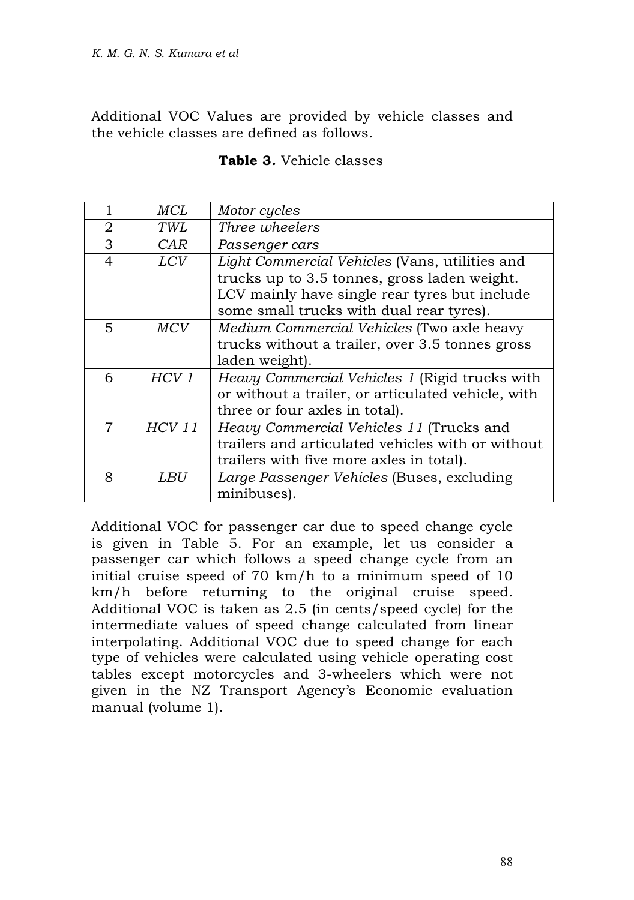Additional VOC Values are provided by vehicle classes and the vehicle classes are defined as follows.

#### **Table 3.** Vehicle classes

|                | MCL              | Motor cycles                                       |
|----------------|------------------|----------------------------------------------------|
| 2              | TWL              | Three wheelers                                     |
| 3              | CAR              | Passenger cars                                     |
| $\overline{4}$ | <i>LCV</i>       | Light Commercial Vehicles (Vans, utilities and     |
|                |                  | trucks up to 3.5 tonnes, gross laden weight.       |
|                |                  | LCV mainly have single rear tyres but include      |
|                |                  | some small trucks with dual rear tyres).           |
| 5              | MCV              | Medium Commercial Vehicles (Two axle heavy         |
|                |                  | trucks without a trailer, over 3.5 tonnes gross    |
|                |                  | laden weight).                                     |
| 6              | HCV <sub>1</sub> | Heavy Commercial Vehicles 1 (Rigid trucks with     |
|                |                  | or without a trailer, or articulated vehicle, with |
|                |                  | three or four axles in total).                     |
| 7              | <b>HCV 11</b>    | Heavy Commercial Vehicles 11 (Trucks and           |
|                |                  | trailers and articulated vehicles with or without  |
|                |                  | trailers with five more axles in total).           |
| 8              | LBU              | Large Passenger Vehicles (Buses, excluding         |
|                |                  | minibuses).                                        |

Additional VOC for passenger car due to speed change cycle is given in Table 5. For an example, let us consider a passenger car which follows a speed change cycle from an initial cruise speed of 70 km/h to a minimum speed of 10 km/h before returning to the original cruise speed. Additional VOC is taken as 2.5 (in cents/speed cycle) for the intermediate values of speed change calculated from linear interpolating. Additional VOC due to speed change for each type of vehicles were calculated using vehicle operating cost tables except motorcycles and 3-wheelers which were not given in the NZ Transport Agency's Economic evaluation manual (volume 1).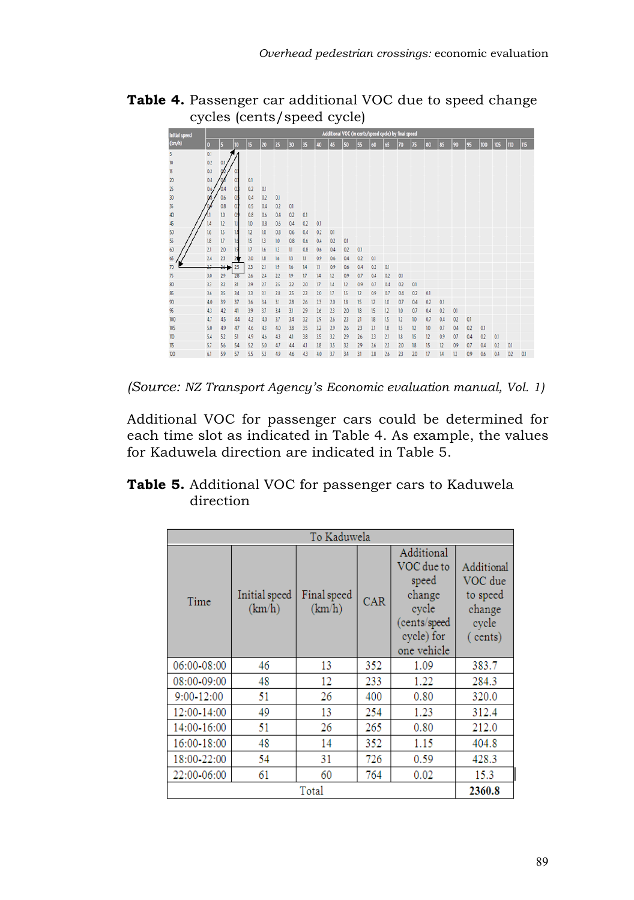



*(Source: NZ Transport Agency's Economic evaluation manual, Vol. 1)*

Additional VOC for passenger cars could be determined for each time slot as indicated in Table 4. As example, the values for Kaduwela direction are indicated in Table 5.

### **Table 5.** Additional VOC for passenger cars to Kaduwela direction

| To Kaduwela     |                         |                       |     |                                                                                                   |                                                                 |  |
|-----------------|-------------------------|-----------------------|-----|---------------------------------------------------------------------------------------------------|-----------------------------------------------------------------|--|
| Time            | Initial speed<br>(km/h) | Final speed<br>(km/h) | CAR | Additional<br>VOC due to<br>speed<br>change<br>cycle<br>(cents/speed<br>cycle) for<br>one vehicle | Additional<br>VOC due<br>to speed<br>change<br>cycle<br>(cents) |  |
| 06:00-08:00     | 46                      | 13                    | 352 | 1.09                                                                                              | 383.7                                                           |  |
| 08:00-09:00     | 48                      | 12                    | 233 | 1.22                                                                                              | 284.3                                                           |  |
| 9:00-12:00      | 51                      | 26                    | 400 | 0.80                                                                                              | 320.0                                                           |  |
| 12:00-14:00     | 49                      | 13                    | 254 | 1.23                                                                                              | 312.4                                                           |  |
| 14:00-16:00     | 51                      | 26                    | 265 | 0.80                                                                                              | 212.0                                                           |  |
| 16:00-18:00     | 48                      | 14                    | 352 | 1.15                                                                                              | 404.8                                                           |  |
| 18:00-22:00     | 54                      | 31                    | 726 | 0.59                                                                                              | 428.3                                                           |  |
| 22:00-06:00     | 61                      | 60                    | 764 | 0.02                                                                                              | 15.3                                                            |  |
| 2360.8<br>Total |                         |                       |     |                                                                                                   |                                                                 |  |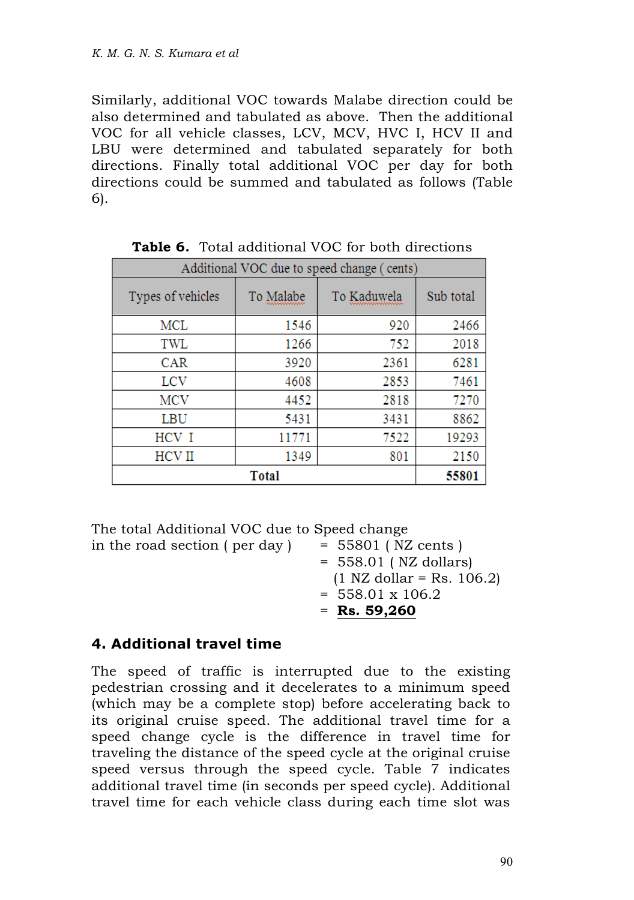Similarly, additional VOC towards Malabe direction could be also determined and tabulated as above. Then the additional VOC for all vehicle classes, LCV, MCV, HVC I, HCV II and LBU were determined and tabulated separately for both directions. Finally total additional VOC per day for both directions could be summed and tabulated as follows (Table 6).

| Additional VOC due to speed change (<br>cents) |           |             |           |  |  |
|------------------------------------------------|-----------|-------------|-----------|--|--|
| Types of vehicles                              | To Malabe | To Kaduwela | Sub total |  |  |
| MCL                                            | 1546      | 920         | 2466      |  |  |
| TWL                                            | 1266      | 752         | 2018      |  |  |
| <b>CAR</b>                                     | 3920      | 2361        | 6281      |  |  |
| <b>LCV</b>                                     | 4608      | 2853        | 7461      |  |  |
| <b>MCV</b>                                     | 4452      | 2818        | 7270      |  |  |
| LBU                                            | 5431      | 3431        | 8862      |  |  |
| HCV I                                          | 11771     | 7522        | 19293     |  |  |
| <b>HCVII</b>                                   | 1349      | 801         | 2150      |  |  |
|                                                | 55801     |             |           |  |  |

**Table 6.** Total additional VOC for both directions

The total Additional VOC due to Speed change in the road section ( per day )  $= 55801$  ( NZ cents ) = 558.01 ( NZ dollars)  $(1 \text{ NZ dollar} = \text{Rs. } 106.2)$  $= 558.01 \times 106.2$ = **Rs. 59,260**

### **4. Additional travel time**

The speed of traffic is interrupted due to the existing pedestrian crossing and it decelerates to a minimum speed (which may be a complete stop) before accelerating back to its original cruise speed. The additional travel time for a speed change cycle is the difference in travel time for traveling the distance of the speed cycle at the original cruise speed versus through the speed cycle. Table 7 indicates additional travel time (in seconds per speed cycle). Additional travel time for each vehicle class during each time slot was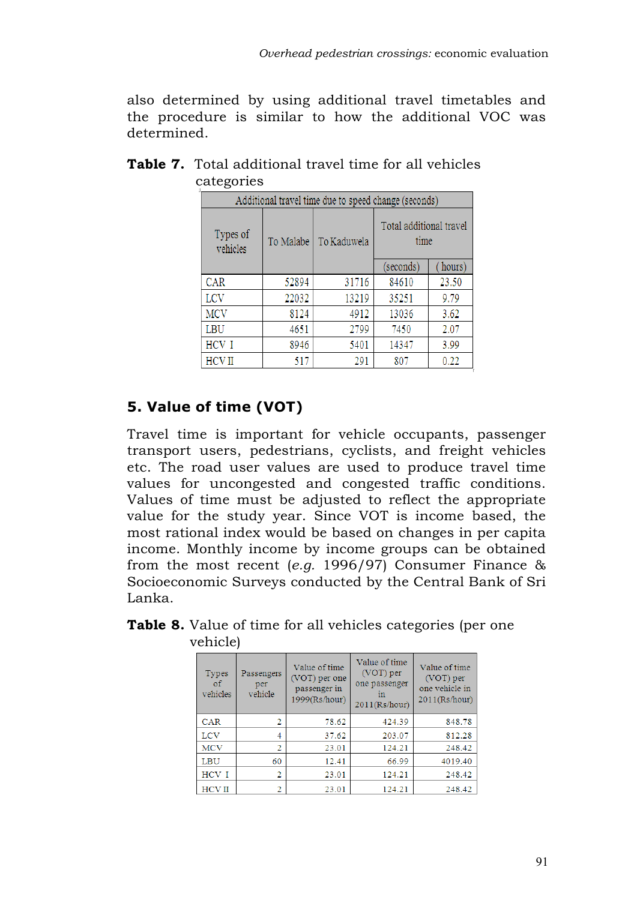also determined by using additional travel timetables and the procedure is similar to how the additional VOC was determined.

| Additional travel time due to speed change (seconds) |           |             |                                 |        |  |  |
|------------------------------------------------------|-----------|-------------|---------------------------------|--------|--|--|
| Types of<br>vehicles                                 | To Malabe | To Kaduwela | Total additional travel<br>time |        |  |  |
|                                                      |           |             | (seconds)                       | hours) |  |  |
| <b>CAR</b>                                           | 52894     | 31716       | 84610                           | 23.50  |  |  |
| <b>LCV</b>                                           | 22032     | 13219       | 35251                           | 9.79   |  |  |
| <b>MCV</b>                                           | 8124      | 4912        | 13036                           | 3.62   |  |  |
| LBU                                                  | 4651      | 2799        | 7450                            | 2.07   |  |  |
| HCV I                                                | 8946      | 5401        | 14347                           | 3.99   |  |  |
| <b>HCVII</b>                                         | 517       | 291         | 807                             | 0.22   |  |  |

## **Table 7.** Total additional travel time for all vehicles categories

# **5. Value of time (VOT)**

Travel time is important for vehicle occupants, passenger transport users, pedestrians, cyclists, and freight vehicles etc. The road user values are used to produce travel time values for uncongested and congested traffic conditions. Values of time must be adjusted to reflect the appropriate value for the study year. Since VOT is income based, the most rational index would be based on changes in per capita income. Monthly income by income groups can be obtained from the most recent (*e.g.* 1996/97) Consumer Finance & Socioeconomic Surveys conducted by the Central Bank of Sri Lanka.

| <b>Types</b><br>οf<br>vehicles | Passengers<br>per<br>vehicle | Value of time<br>(VOT) per one<br>passenger in<br>1999(Rs/hour) | Value of time<br>(VOT) per<br>one passenger<br>111<br>2011(Rs/hour) | Value of time<br>(VOT) per<br>one vehicle in<br>2011(Rs/hour) |
|--------------------------------|------------------------------|-----------------------------------------------------------------|---------------------------------------------------------------------|---------------------------------------------------------------|
| CAR                            | 2                            | 78.62                                                           | 424.39                                                              | 848.78                                                        |
| LCV                            | $\overline{4}$               | 37.62                                                           | 203.07                                                              | 812.28                                                        |
| <b>MCV</b>                     | 2                            | 23.01                                                           | 124.21                                                              | 248.42                                                        |
| LBU                            | 60                           | 12.41                                                           | 66.99                                                               | 4019.40                                                       |
| HCV I                          | 2                            | 23.01                                                           | 124.21                                                              | 248.42                                                        |
| <b>HCVII</b>                   | 2                            | 23.01                                                           | 124.21                                                              | 248.42                                                        |

**Table 8.** Value of time for all vehicles categories (per one vehicle)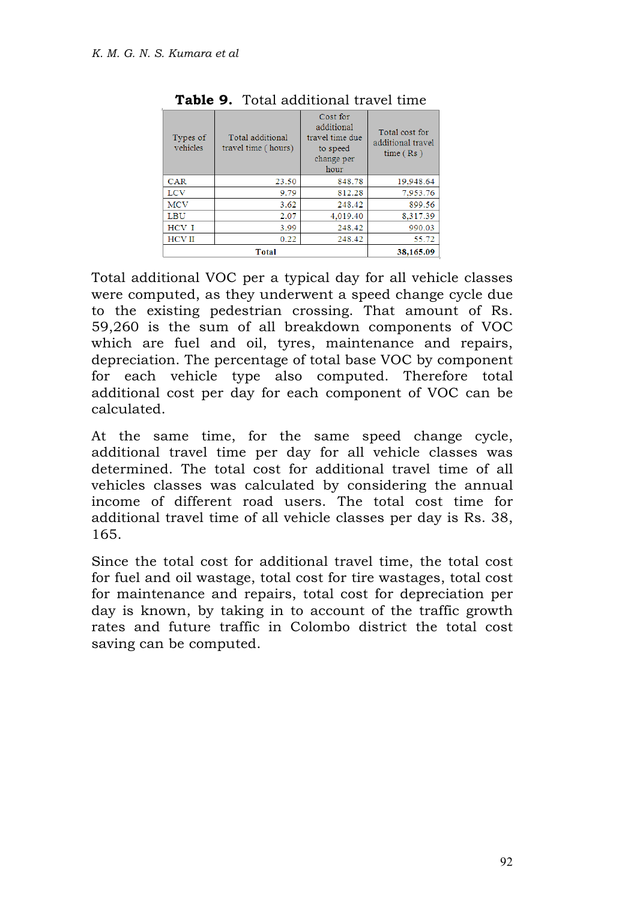| Types of<br>vehicles | Total additional<br>travel time (hours) | Cost for<br>additional<br>travel time due<br>to speed<br>change per<br>hour | Total cost for<br>additional travel<br>time(Rs) |
|----------------------|-----------------------------------------|-----------------------------------------------------------------------------|-------------------------------------------------|
| <b>CAR</b>           | 23.50                                   | 848.78                                                                      | 19,948.64                                       |
| LCV                  | 9.79                                    | 812.28                                                                      | 7.953.76                                        |
| <b>MCV</b>           | 3.62                                    | 248.42                                                                      | 899.56                                          |
| <b>LBU</b>           | 2.07                                    | 4,019.40                                                                    | 8.317.39                                        |
| HCV I                | 3.99                                    | 248.42                                                                      | 990.03                                          |
| <b>HCVII</b>         | 0.22                                    | 248.42                                                                      | 55.72                                           |
|                      | 38,165,09                               |                                                                             |                                                 |

|  | Table 9. Total additional travel time |  |
|--|---------------------------------------|--|
|  |                                       |  |

Total additional VOC per a typical day for all vehicle classes were computed, as they underwent a speed change cycle due to the existing pedestrian crossing. That amount of Rs. 59,260 is the sum of all breakdown components of VOC which are fuel and oil, tyres, maintenance and repairs, depreciation. The percentage of total base VOC by component for each vehicle type also computed. Therefore total additional cost per day for each component of VOC can be calculated.

At the same time, for the same speed change cycle, additional travel time per day for all vehicle classes was determined. The total cost for additional travel time of all vehicles classes was calculated by considering the annual income of different road users. The total cost time for additional travel time of all vehicle classes per day is Rs. 38, 165.

Since the total cost for additional travel time, the total cost for fuel and oil wastage, total cost for tire wastages, total cost for maintenance and repairs, total cost for depreciation per day is known, by taking in to account of the traffic growth rates and future traffic in Colombo district the total cost saving can be computed.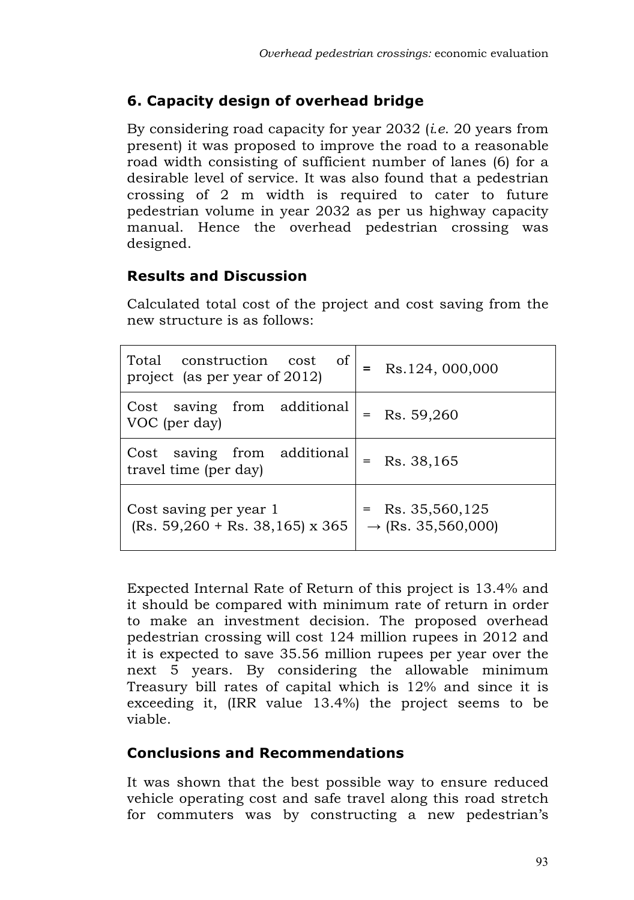# **6. Capacity design of overhead bridge**

By considering road capacity for year 2032 (*i.e*. 20 years from present) it was proposed to improve the road to a reasonable road width consisting of sufficient number of lanes (6) for a desirable level of service. It was also found that a pedestrian crossing of 2 m width is required to cater to future pedestrian volume in year 2032 as per us highway capacity manual. Hence the overhead pedestrian crossing was designed.

## **Results and Discussion**

Calculated total cost of the project and cost saving from the new structure is as follows:

| of<br>Total construction cost<br>project (as per year of 2012) | Rs.124, 000,000                                      |
|----------------------------------------------------------------|------------------------------------------------------|
| Cost saving from additional<br>VOC (per day)                   | Rs. 59,260                                           |
| Cost saving from additional<br>travel time (per day)           | Rs. 38,165                                           |
| Cost saving per year 1<br>$(Rs. 59,260 + Rs. 38,165)$ x 365    | $=$ Rs. 35,560,125<br>$\rightarrow$ (Rs. 35,560,000) |

Expected Internal Rate of Return of this project is 13.4% and it should be compared with minimum rate of return in order to make an investment decision. The proposed overhead pedestrian crossing will cost 124 million rupees in 2012 and it is expected to save 35.56 million rupees per year over the next 5 years. By considering the allowable minimum Treasury bill rates of capital which is 12% and since it is exceeding it, (IRR value 13.4%) the project seems to be viable.

## **Conclusions and Recommendations**

It was shown that the best possible way to ensure reduced vehicle operating cost and safe travel along this road stretch for commuters was by constructing a new pedestrian's